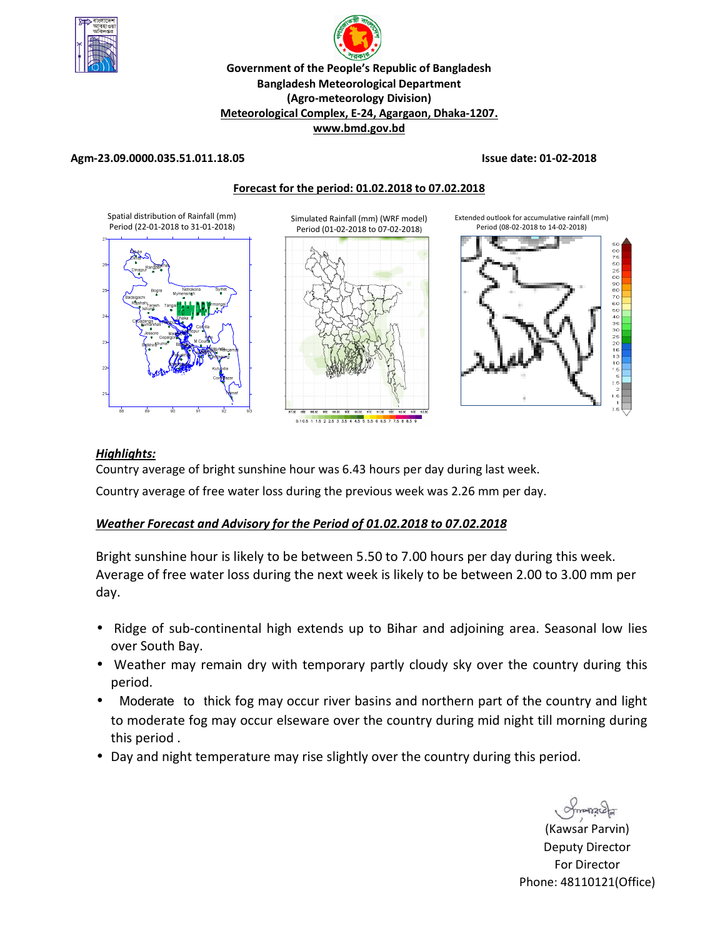

# p **Government of the People's Republic of Bangladesh Bangladesh Meteorological Department (Agro-meteorology Division) Meteorological Complex, E-24, Agargaon, Dhaka-1207. www.bmd.gov.bd**

#### **Agm-23.09.0000.035.51.011.18.05 Issue date: 01-02-2018**



#### *Highlights:*

Country average of bright sunshine hour was 6.43 hours per day during last week.

Country average of free water loss during the previous week was 2.26 mm per day.

#### *Weather Forecast and Advisory for the Period of 01.02.2018 to 07.02.2018*

Bright sunshine hour is likely to be between 5.50 to 7.00 hours per day during this week. Average of free water loss during the next week is likely to be between 2.00 to 3.00 mm per day.

- Ridge of sub-continental high extends up to Bihar and adjoining area. Seasonal low lies over South Bay.
- Weather may remain dry with temporary partly cloudy sky over the country during this period.
- Moderate to thick fog may occur river basins and northern part of the country and light to moderate fog may occur elseware over the country during mid night till morning during this period .
- Day and night temperature may rise slightly over the country during this period.

manare

(Kawsar Parvin) Deputy Director For Director Phone: 48110121(Office)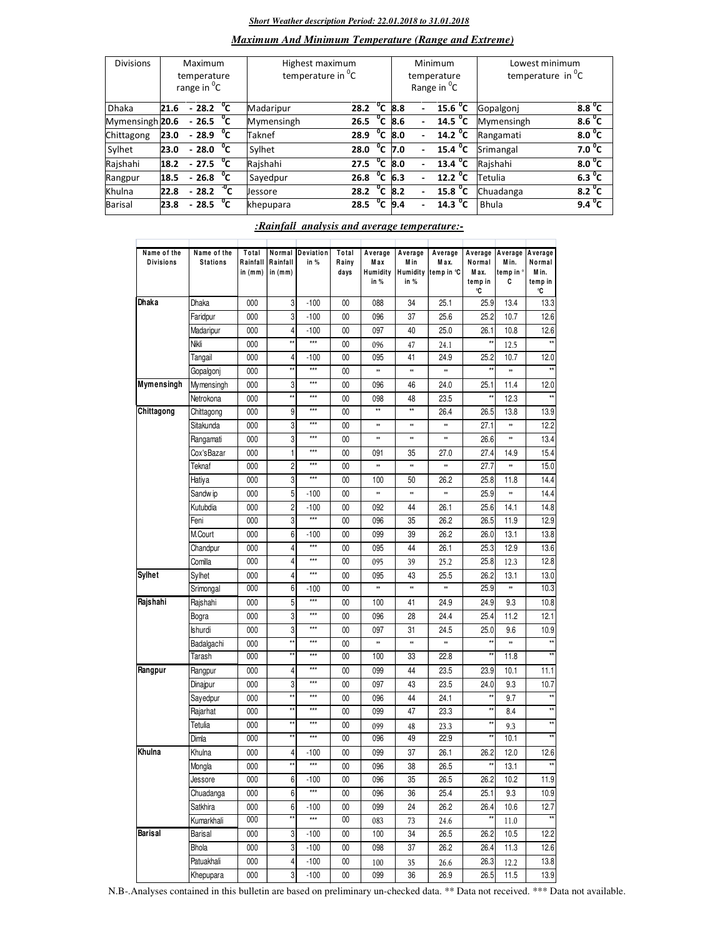#### *Short Weather description Period: 22.01.2018 to 31.01.2018*

#### *Maximum And Minimum Temperature (Range and Extreme)*

| <b>Divisions</b> | Maximum<br>temperature<br>range in <sup>o</sup> C |                     |              | Highest maximum<br>temperature in <sup>o</sup> C |      |              |     |                          | Minimum<br>temperature<br>Range in <sup>o</sup> C | Lowest minimum<br>temperature in $^0C$ |                    |  |
|------------------|---------------------------------------------------|---------------------|--------------|--------------------------------------------------|------|--------------|-----|--------------------------|---------------------------------------------------|----------------------------------------|--------------------|--|
| <b>Dhaka</b>     | 21.6                                              | $-28.2\text{ °C}$   |              | Madaripur                                        | 28.2 | $^{\circ}$ c | 8.8 |                          | 15.6 <sup>o</sup> C                               | Gopalgoni                              | 8.8 <sup>o</sup> C |  |
| Mymensingh 20.6  |                                                   | $-26.5\degree$ C    |              | Mymensingh                                       | 26.5 | °c           | 8.6 |                          | $14.5\text{ °C}$                                  | Mymensingh                             | $8.6^{\circ}$ C    |  |
| Chittagong       | 23.0                                              | $-28.9$             | °c           | Taknef                                           | 28.9 | °c           | 8.0 | $\blacksquare$           | $\overline{14.2}$ <sup>o</sup> C                  | Rangamati                              | 8.0 <sup>o</sup> C |  |
| Sylhet           | 23.0                                              | $-28.0$             | $^{\circ}$ c | Sylhet                                           | 28.0 | $^{\circ}$ c | 7.0 | $\overline{\phantom{0}}$ | 15.4 $^{\circ}$ C                                 | Srimangal                              | 7.0 $^{\circ}$ C   |  |
| Rajshahi         | 18.2                                              | $-27.5\degree$ C    |              | Rajshahi                                         | 27.5 | °c           | 8.0 | $\overline{\phantom{a}}$ | $\overline{13.4}$ <sup>o</sup> C                  | Rajshahi                               | $8.0^{\circ}$ C    |  |
| Rangpur          | 18.5                                              | $-26.8\text{ °C}$   |              | Sayedpur                                         | 26.8 | $^{\circ}$ c | 6.3 |                          | $12.2 \text{ °C}$                                 | Tetulia                                | 6.3 <sup>0</sup> C |  |
| Khulna           | 22.8                                              | $-28.2\sqrt[10]{C}$ |              | Jessore                                          | 28.2 | $^0$ C       | 8.2 |                          | $15.8 \text{ °C}$                                 | Chuadanga                              | 8.2 $^{\circ}$ C   |  |
| Barisal          | 23.8                                              | $-28.5$             | °⊂           | khepupara                                        | 28.5 | $^{\circ}$ c | 9.4 |                          | $14.3 \text{ }^0\text{C}$                         | <b>Bhula</b>                           | $9.4^{\circ}$ C    |  |

#### *:Rainfall analysis and average temperature:-*

| Name of the<br><b>Divisions</b> | Name of the<br><b>Stations</b> | Total<br>Rainfall<br>in $(mm)$ | Normal<br>Rainfall<br>in $(mm)$ | Deviation<br>in % | Total<br>Rainy<br>days | Average<br>Max<br>Humidity<br>in $%$ | Average<br>M in<br>in % | Average<br>Max.<br>Humidity temp in °C | Average<br>Normal<br>M ax.<br>temp in<br>°C | Average<br>Min.<br>temp in °<br>c | Average<br>Normal<br>Min.<br>temp in<br>۰C |
|---------------------------------|--------------------------------|--------------------------------|---------------------------------|-------------------|------------------------|--------------------------------------|-------------------------|----------------------------------------|---------------------------------------------|-----------------------------------|--------------------------------------------|
| Dhaka                           | <b>Dhaka</b>                   | 000                            | 3                               | $-100$            | 00                     | 088                                  | 34                      | 25.1                                   | 25.9                                        | 13.4                              | 13.3                                       |
|                                 | Faridpur                       | 000                            | 3                               | $-100$            | $00\,$                 | 096                                  | 37                      | 25.6                                   | 25.2                                        | 10.7                              | 12.6                                       |
|                                 | Madaripur                      | 000                            | 4                               | $-100$            | 00                     | 097                                  | 40                      | 25.0                                   | 26.1                                        | 10.8                              | 12.6                                       |
|                                 | Nikli                          | 000                            | $\star\star$                    | $***$             | $00\,$                 | 096                                  | 47                      | 24.1                                   | $\star\star$                                | 12.5                              | $\star$                                    |
|                                 | Tangail                        | 000                            | 4                               | $-100$            | $00\,$                 | 095                                  | 41                      | 24.9                                   | 25.2                                        | 10.7                              | 12.0                                       |
|                                 | Gopalgoni                      | 000                            | xx                              | $***$             | 00                     | *                                    | ×                       | ×                                      | ××                                          | **                                |                                            |
| Mymensingh                      | Mymensingh                     | 000                            | 3                               | $***$             | 00                     | 096                                  | 46                      | 24.0                                   | 25.1                                        | 11.4                              | 12.0                                       |
|                                 | Netrokona                      | 000                            | xx                              | $***$             | $00\,$                 | 098                                  | 48                      | 23.5                                   | ××                                          | 12.3                              | ××                                         |
| Chittagong                      | Chittagong                     | 000                            | 9                               | $***$             | 00                     | **                                   | $\star\star$            | 26.4                                   | 26.5                                        | 13.8                              | 13.9                                       |
|                                 | Sitakunda                      | 000                            | 3                               | $***$             | $00\,$                 | 88                                   | ×                       | ×                                      | 27.1                                        | ×                                 | 12.2                                       |
|                                 | Rangamati                      | 000                            | 3                               | $***$             | $00\,$                 | ×                                    | ×                       | ×                                      | 26.6                                        | ×                                 | 13.4                                       |
|                                 | Cox'sBazar                     | 000                            | 1                               | ***               | 00                     | 091                                  | 35                      | 27.0                                   | 27.4                                        | 14.9                              | 15.4                                       |
|                                 | Teknaf                         | 000                            | $\overline{c}$                  | $***$             | 00                     | ×                                    | ×                       | ×                                      | 27.7                                        | **                                | 15.0                                       |
|                                 | Hatiya                         | 000                            | 3                               | $***$             | $00\,$                 | 100                                  | 50                      | 26.2                                   | 25.8                                        | 11.8                              | 14.4                                       |
|                                 | Sandw ip                       | 000                            | 5                               | $-100$            | $00\,$                 | 88                                   | ×                       | **                                     | 25.9                                        | **                                | 14.4                                       |
|                                 | Kutubdia                       | 000                            | $\overline{c}$                  | $-100$            | $00\,$                 | 092                                  | 44                      | 26.1                                   | 25.6                                        | 14.1                              | 14.8                                       |
|                                 | Feni                           | 000                            | 3                               | $***$             | $00\,$                 | 096                                  | 35                      | 26.2                                   | 26.5                                        | 11.9                              | 12.9                                       |
|                                 | M.Court                        | 000                            | 6                               | $-100$            | 00                     | 099                                  | 39                      | 26.2                                   | 26.0                                        | 13.1                              | 13.8                                       |
|                                 | Chandpur                       | 000                            | 4                               | $***$             | 00                     | 095                                  | 44                      | 26.1                                   | 25.3                                        | 12.9                              | 13.6                                       |
|                                 | Comilla                        | 000                            | 4                               | $***$             | $00\,$                 | 095                                  | 39                      | 25.2                                   | 25.8                                        | 12.3                              | 12.8                                       |
| Sylhet                          | Sylhet                         | 000                            | 4                               | ***               | 00                     | 095                                  | 43                      | 25.5                                   | 26.2                                        | 13.1                              | 13.0                                       |
|                                 | Srimongal                      | 000                            | 6                               | $-100$            | 00                     | ×                                    | ×                       | ×                                      | 25.9                                        | ×                                 | 10.3                                       |
| Rajshahi                        | Rajshahi                       | 000                            | 5                               | $***$             | $00\,$                 | 100                                  | 41                      | 24.9                                   | 24.9                                        | 9.3                               | 10.8                                       |
|                                 | Bogra                          | 000                            | 3                               | ***               | 00                     | 096                                  | 28                      | 24.4                                   | 25.4                                        | 11.2                              | 12.1                                       |
|                                 | <b>Ishurdi</b>                 | 000                            | 3                               | $***$             | 00                     | 097                                  | 31                      | 24.5                                   | 25.0                                        | 9.6                               | 10.9                                       |
|                                 | Badalgachi                     | 000                            | **                              | $***$             | $00\,$                 | ×                                    | ×                       | ×                                      | xx                                          | ×                                 | ××                                         |
|                                 | Tarash                         | 000                            | **                              | $***$             | 00                     | 100                                  | 33                      | 22.8                                   | **                                          | 11.8                              | $**$                                       |
| Rangpur                         | Rangpur                        | 000                            | 4                               | $***$             | 00                     | 099                                  | 44                      | 23.5                                   | 23.9                                        | 10.1                              | 11.1                                       |
|                                 | Dinajpur                       | 000                            | 3                               | $***$             | $00\,$                 | 097                                  | 43                      | 23.5                                   | 24.0                                        | 9.3                               | 10.7                                       |
|                                 | Sayedpur                       | 000                            | xx                              | $***$             | 00                     | 096                                  | 44                      | 24.1                                   | ××                                          | 9.7                               | $\star\star$                               |
|                                 | Rajarhat                       | 000                            | **                              | $***$             | 00                     | 099                                  | 47                      | 23.3                                   | **                                          | 8.4                               |                                            |
|                                 | Tetulia                        | 000                            | xx                              | $***$             | $00\,$                 | 099                                  | 48                      | 23.3                                   | **                                          | 9.3                               | **                                         |
|                                 | Dimla                          | 000                            | **                              | ***               | $00\,$                 | 096                                  | 49                      | 22.9                                   | $\star\star$                                | 10.1                              | $\star\star$                               |
| Khulna                          | Khulna                         | 000                            | 4                               | -100              | $00\,$                 | 099                                  | 37                      | 26.1                                   | 26.2                                        | 12.0                              | 12.6                                       |
|                                 | Mongla                         | 000                            | xx                              | $***$             | 00                     | 096                                  | 38                      | 26.5                                   | ××                                          | 13.1                              | xx                                         |
|                                 | Jessore                        | 000                            | 6                               | $-100$            | 00                     | 096                                  | 35                      | 26.5                                   | 26.2                                        | 10.2                              | 11.9                                       |
|                                 | Chuadanga                      | 000                            | 6                               | $***$             | $00\,$                 | 096                                  | 36                      | 25.4                                   | 25.1                                        | 9.3                               | 10.9                                       |
|                                 | Satkhira                       | 000                            | 6                               | $-100$            | $00\,$                 | 099                                  | 24                      | 26.2                                   | 26.4                                        | 10.6                              | 12.7                                       |
|                                 | Kumarkhali                     | 000                            | **                              | $***$             | 00                     | 083                                  | 73                      | 24.6                                   | $\star\star$                                | 11.0                              | $^{\star\star}$                            |
| Barisal                         | Barisal                        | 000                            | 3                               | $-100$            | $00\,$                 | 100                                  | 34                      | 26.5                                   | 26.2                                        | 10.5                              | 12.2                                       |
|                                 | Bhola                          | 000                            | 3                               | $-100$            | $00\,$                 | 098                                  | 37                      | 26.2                                   | 26.4                                        | 11.3                              | 12.6                                       |
|                                 | Patuakhali                     | 000                            | $\overline{a}$                  | $-100$            | 00                     |                                      |                         |                                        | 26.3                                        |                                   | 13.8                                       |
|                                 | Khepupara                      | 000                            | 3                               | $-100$            | 00                     | 100<br>099                           | 35<br>36                | 26.6<br>26.9                           | 26.5                                        | 12.2<br>11.5                      | 13.9                                       |
|                                 |                                |                                |                                 |                   |                        |                                      |                         |                                        |                                             |                                   |                                            |

N.B-.Analyses contained in this bulletin are based on preliminary un-checked data. \*\* Data not received. \*\*\* Data not available.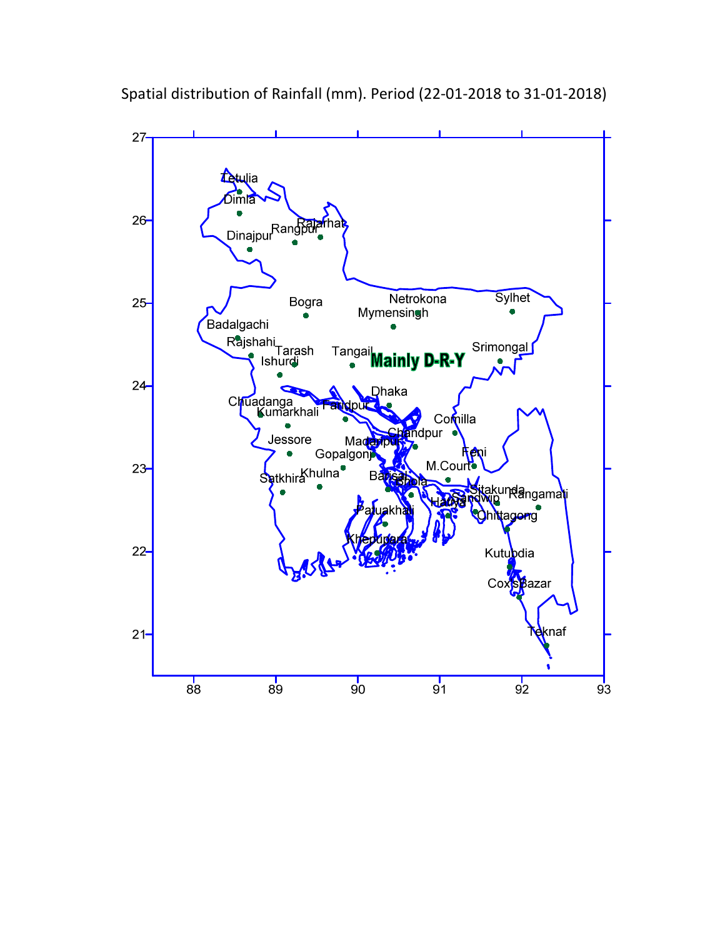

Spatial distribution of Rainfall (mm). Period (22-01-2018 to 31-01-2018)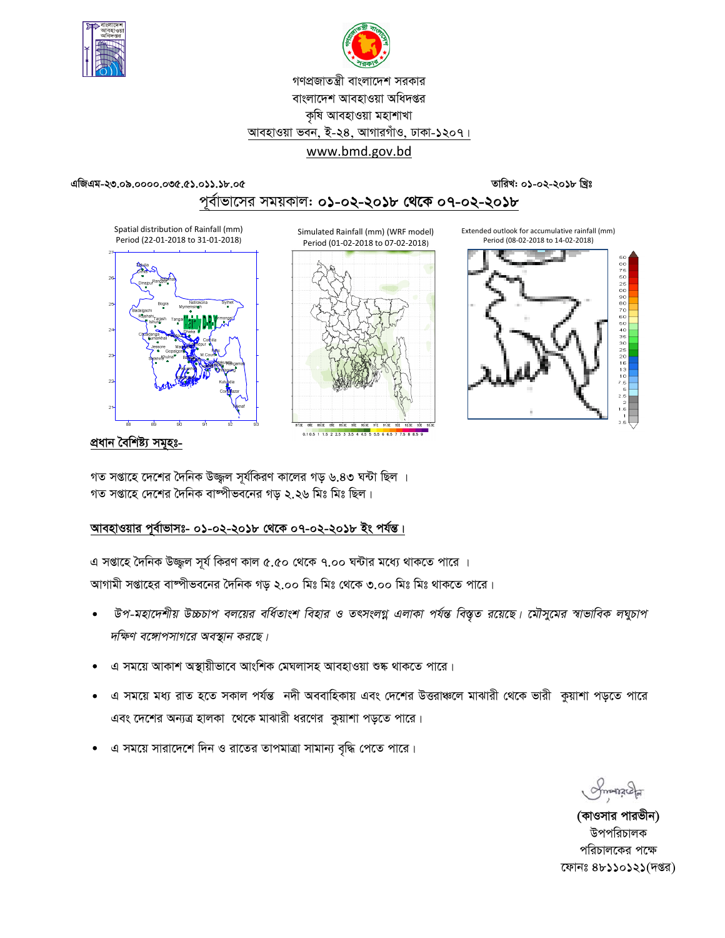



## গণপ্রজাতন্ত্রী বাংলাদেশ সরকার বাংলাদেশ আবহাওয়া অধিদপ্তর কৃষি আবহাওয়া মহাশাখা আবহাওয়া ভবন, ই-২৪, আগারগাঁও, ঢাকা-১২০৭। www.bmd.gov.bd

এজিএম-২৩.০৯.০০০০.০৩৫.৫১.০১১.১৮.০৫

তারিখ: ০১-০২-২০১৮ খ্রিঃ

## পূর্বাভাসের সময়কাল: ০১-০২-২০১৮ থেকে ০৭-০২-২০১৮

Spatial distribution of Rainfall (mm) Period (22-01-2018 to 31-01-2018)



Simulated Rainfall (mm) (WRF model) Period (01-02-2018 to 07-02-2018)







<u>প্ৰধান বৈশিষ্ট্য সমূহঃ-</u>

গত সপ্তাহে দেশের দৈনিক উজ্জল সূর্যকিরণ কালের গড় ৬.৪৩ ঘন্টা ছিল । গত সপ্তাহে দেশের দৈনিক বাষ্পীভবনের গড ২.২৬ মিঃ মিঃ ছিল।

## আবহাওয়ার পূর্বাভাসঃ- ০১-০২-২০১৮ থেকে ০৭-০২-২০১৮ ইং পর্যন্ত।

এ সপ্তাহে দৈনিক উজ্জুল সূর্য কিরণ কাল ৫.৫০ থেকে ৭.০০ ঘন্টার মধ্যে থাকতে পারে । আগামী সপ্তাহের বাষ্পীভবনের দৈনিক গড় ২.০০ মিঃ মিঃ থেকে ৩.০০ মিঃ মিঃ থাকতে পারে।

- উপ-মহাদেশীয় উচ্চচাপ বলয়ের বর্ধিতাংশ বিহার ও তৎসংলগ্ন এলাকা পর্যন্ত বিস্তৃত রয়েছে। মৌসুমের স্বাভাবিক লঘুচাপ দক্ষিণ বঙ্গোপসাগরে অবস্থান করছে।
- এ সময়ে আকাশ অস্থায়ীভাবে আংশিক মেঘলাসহ আবহাওয়া শুষ্ক থাকতে পারে।
- এ সময়ে মধ্য রাত হতে সকাল পর্যন্ত নদী অববাহিকায় এবং দেশের উত্তরাঞ্চলে মাঝারী থেকে ভারী কুয়াশা পড়তে পারে এবং দেশের অন্যত্র হালকা থেকে মাঝারী ধরণের কুয়াশা পড়তে পারে।
- এ সময়ে সারাদেশে দিন ও রাতের তাপমাত্রা সামান্য বৃদ্ধি পেতে পারে।

Smanage

(কাওসার পারভীন) উপপরিচালক পরিচালকের পক্ষে ফোনঃ ৪৮১১০১২১(দপ্তর)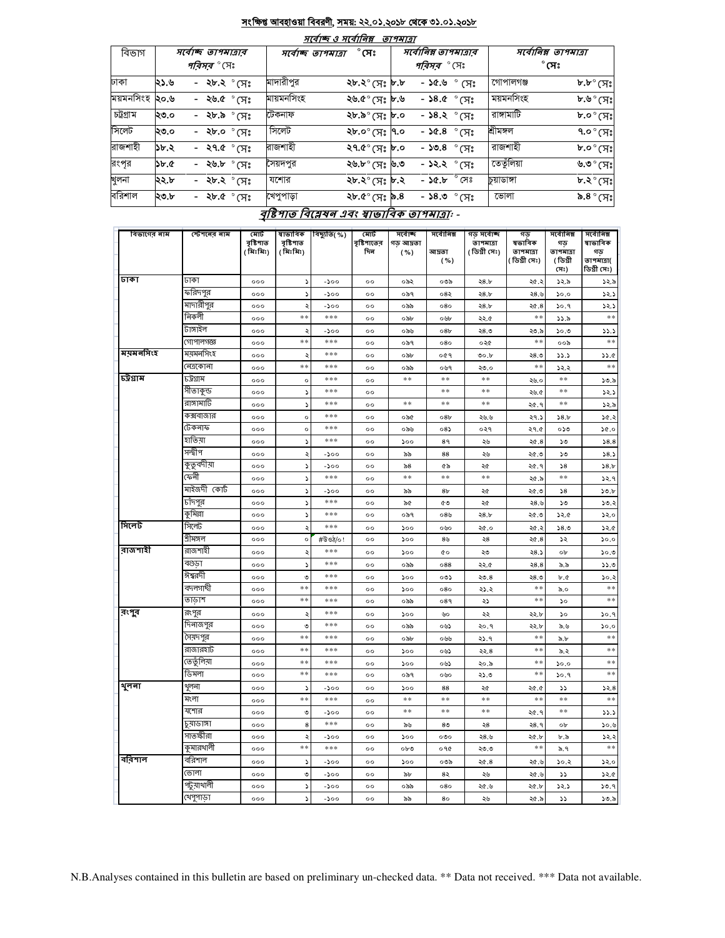#### <u>সংক্ষিপ্ত আবহাওয়া বিবরণী, সময়: ২২.০১.২০১৮ থেকে ৩১.০১.২০১৮</u>  $\overline{m}$  a  $\overline{m}$

|           |      |                       |                     | <i>শংবাত্ত ও শংবা।ণপ</i> | ונומדוש |                                   |             |                                   |
|-----------|------|-----------------------|---------------------|--------------------------|---------|-----------------------------------|-------------|-----------------------------------|
| বিভাগ     |      | সবোচ্ছ তাপমাত্ৰাৰ     | সর্বোচ্ছ ত্যপমাত্রা | $^\circ$ সেঃ             |         | সর্বোনিম্ন তাপমাত্রার             |             | সর্বোনিম্ন তাপমাত্রা              |
|           |      | <i>পরিসর °</i> সেঃ    |                     |                          |         | <i>পরিসর °</i> সেঃ                |             | $^\circ$ সেঃ                      |
| ঢাকা      | ২১.৬ | - ২৮.২ ° সেঃ          | মাদারীপুর           | ২৮.২° (সঃ ৮.৮            |         | $\sqrt[3]{6.8}$ $\sqrt[6]{6.8}$ - | গোপালগঞ্জ   | ৮.৮ $^{\circ}$ (সঃ                |
| ময়মনসিংহ | ২০.৬ | - ২৬.৫ $^{\circ}$ সেঃ | মায়মনসিংহ          | ৬.৫° (সঃ ৮.৬             |         | - ১৪.৫ $^{\circ}$ সেঃ             | ময়মনসিংহ   | ৮.৬° (সঃ                          |
| চট্টগ্ৰাম | ২৩.০ | - ২৮.৯ $^{\circ}$ সেঃ | ঢেকনাফ              | <b>১৮.৯</b> ° (সঃ ৮.০    |         | - ১৪.২ $^{\circ}$ সেঃ             | রাঙ্গামাটি  | $b.o^{\circ}$ (সঃ                 |
| সিলেট     | ২৩.০ | - ২৮.০ °সেঃ           | সিলেট               | ২৮.০ $^{\circ}$ (সঃ ৭.০  |         | - ১৫.৪ ° সেঃ                      | শ্ৰীমঙ্গল   | ৭.০ $^{\circ}$ (সঃ $\parallel$    |
| রাজশাহী   | ১৮.২ | - ২৭.৫ $^{\circ}$ সেঃ | রাজশাহী             | ২৭.৫ $^{\circ}$ সেঃ ৮.০  |         | - ১৩.৪ $^{\circ}$ সেঃ             | রাজশাহী     | $\mathfrak{b}.\circ^\circ$ (সঃ    |
| রংপূর     | ১৮.৫ | - ২৬.৮ $^{\circ}$ সেঃ | সৈয়দপুর            | ২৬.৮° (সঃ ৬.৩            |         | - <b>১২.২</b> ° সেঃ               | তেতুঁলিয়া  | ৬.৩° (সঃ                          |
| খুলনা     | ২২.৮ | - ২৮.২ ° সেঃ          | যশোর                | ২৮.২° সেঃ ৮.২            |         | ° সেঃ<br>- ১৫.৮                   | চুয়াডাঙ্গা | $\mathbf{b}.\mathbf{c}^\circ$ (সঃ |
| বরিশাল    | ২৩.৮ | - ২৮.৫ $^{\circ}$ সেঃ | খেপুপাড়া           | $8.6^\circ$ (সঃ ৯.8      |         | - ১৪.৩ ° সেঃ                      | ভোলা        | ৯.৪ $^{\circ}$ (সঃ                |
|           |      |                       |                     |                          |         |                                   |             |                                   |

### <u>বৃষ্টিপাত বিশ্লেষন এবং স্বাভাবিক তাপমাত্রা</u>: -

| বিভাগের নাম | স্টেশনের নাম | মোট<br>বৃষ্টিপাত | ম্বাভাবিক              | বিছ্যুতি(%) | মোট                | সৰ্বোচ্ছ           | সৰ্বোনিম্ন      | গড় সৰ্বোচ্ছ               | গড<br>ষভাবিক | সৰ্বোনিম্ন      | সৰ্বোনিম্ন<br>ষাভাবিক     |
|-------------|--------------|------------------|------------------------|-------------|--------------------|--------------------|-----------------|----------------------------|--------------|-----------------|---------------------------|
|             |              | ( মিঃমিঃ)        | বৃষ্টিপাত<br>( মিঃমিঃ) |             | বৃষ্টিশাতের<br>দিন | গড় আদ্রতা<br>( %) | আদ্ৰতা          | তাপমাত্রা<br>( ডিগ্ৰী সেঃ) | তাপমাত্রা    | গড<br>তাপমাত্রা | গড                        |
|             |              |                  |                        |             |                    |                    | ( %)            |                            | (ডিগ্ৰী সেঃ) | (ডিগ্ৰী<br>সেঃ) | তাপমাত্রা(<br>ডিগ্ৰী সেঃ) |
| ঢাকা        | ঢাকা         | 000              | ς                      | $-500$      | $^{\circ}$         | ০৯২                | ০৩৯             | 28.5                       | ২৫.২         | ১২.৯            | ১২.৯                      |
|             | ফরিদপুর      | 000              | د                      | -200        | 00                 | ০৯৭                | ০৪২             | 28.5                       | 28.6         | 50.0            | 32.5                      |
|             | মাদারীপুর    | 000              | ২                      | -200        | $^{\circ}$         | ০৯৯                | 080             | 28.5                       | ২৫.৪         | ১০.৭            | 32.5                      |
|             | নিকলী        | 000              | $**$                   | ***         | $^{\circ}$         | ০৯৮                | ০৬৮             | ২২.৫                       | $**$         | ১১.৯            | $**$                      |
|             | টাঙ্গাইল     | 000              | ২                      | -১০০        | $^{oo}$            | ০৯৬                | 08 <sub>b</sub> | ২৪.৩                       | ২৩.৯         | ৩.০১            | 33.3                      |
|             | গোপালগজ্ঞ    | 000              | $**$                   | ***         | $^{\circ}$         | ০৯৭                | 080             | ০২৫                        | $**$         | ০০৯             | **                        |
| ময়মনসিংহ   | ময়মনসিংহ    | 000              | ২                      | ***         | $^{\circ}$         | ০৯৮                | ०৫৭             | 00.b                       | ২৪.৩         | 33.3            | 33.0                      |
|             | নেত্ৰকোনা    | 000              | **                     | ***         | $^{oo}$            | ০৯৯                | ০৬৭             | ২৩.০                       | $**$         | ১২.২            | $\ast$ $\ast$             |
| চট্টগ্রাম   | ঢট্টগ্ৰাম    | 000              | $\circ$                | ***         | $^{\circ}$         | $**$               | **              | $**$                       | ২৬.০         | **              | ১৩.৯                      |
|             | সীতাকুন্ড    | 000              | د                      | ***         | $\circ$            |                    | **              | $***$                      | ২৬.৫         | **              | 32.5                      |
|             | রাঙ্গামার্টি | 000              | ς                      | ***         | $^{\circ}$         | $**$               | **              | **                         | ২৫.৭         | **              | 32.5                      |
|             | কক্সবাজার    | 000              | $\circ$                | ***         | $^{\circ}$         | ০৯৫                | 08 <sub>b</sub> | ২৬.৬                       | ২৭.১         | 58.5            | 30.3                      |
|             | টেকনাফ       | 000              | $\circ$                | ***         | $^{oo}$            | ০৯৬                | $08\lambda$     | ०२१                        | ২৭.৫         | ০১৩             | 30.0                      |
|             | হাতিয়া      | 000              | ς                      | ***         | $^{\circ}$         | 500                | 89              | ২৬                         | ২৫.8         | ১৩              | 58.8                      |
|             | সন্দ্বীপ     | 000              | ২                      | -১০০        | $\circ$            | ৯৯                 | 88              | ২৬                         | ২৫.৩         | ১৩              | 58.5                      |
|             | কুতুবদীয়া   | 000              | ς                      | -200        | $^{\circ}$         | ৯৪                 | ৫৯              | ২৫                         | ২৫.৭         | 58              | 58.b                      |
|             | কেনী         | 000              | ډ                      | ***         | $^{\circ}$         | $**$               | **              | $**$                       | ২৫.৯         | **              | ১২.৭                      |
|             | মাইজদী কোট   | 000              | ډ                      | -১০০        | $^{\circ}$         | ৯৯                 | 8 <sub>b</sub>  | ২৫                         | ২৫.৩         | 58              | 50.b                      |
|             | চাঁদপুর      | 000              | ς                      | ***         | $^{\circ}$         | ৯৫                 | ৫৩              | ২৫                         | 28.6         | ১৩              | 50.3                      |
|             | কুমিল্লা     | 000              | ς                      | ***         | $^{\circ}$         | ০৯৭                | ০8৬             | 28.b                       | ২৫.৩         | 32.6            | ১২.০                      |
| সিলেট       | সিলেট        | 000              | ২                      | ***         | $^{oo}$            | ১০০                | ০৬০             | ২৫.০                       | ২৫.২         | 58.0            | ১২.৫                      |
|             | শ্ৰীমঙ্গল    | 000              | $\circ$                | #উওঠ/০!     | $^{oo}$            | 500                | 8 <sub>b</sub>  | 58                         | ২৫.8         | ১২              | 50.0                      |
| ৰাজশাহী     | রাজশাহী      | 000              | ২                      | ***         | $\circ$            | ১০০                | ¢о              | ২৩                         | 28.2         | ob              | 50.9                      |
|             | বগুডা        | 000              | ډ                      | ***         | $^{\circ}$         | ০৯৯                | 088             | ২২.৫                       | 28.8         | ৯.৯             | 33.0                      |
|             | ঈশ্বরদী      | 000              | ৩                      | ***         | $^{\circ}$         | 500                | ০৩১             | ২৩.৪                       | ২৪.৩         | b.C             | 30.3                      |
|             | বদলগাদ্বী    | 000              | $**$                   | ***         | $^{\circ}$         | 500                | 080             | ২১.২                       | $**$         | ৯.০             | **                        |
|             | তাডাশ        | 000              | $**$                   | ***         | $^{\circ}$         | ০৯৯                | 089             | ২১                         | $**$         | ১০              | $**$                      |
| রংপুব       | রংপুর        | 000              | ٠                      | ***         | $\circ$            | 500                | ৬০              | ২২                         | ২২.৮         | ১০              | 30.9                      |
|             | দিনাজপুর     | 000              | ৩                      | ***         | $^{\circ}$         | ০৯৯                | ০৬১             | २०.१                       | ২২.৮         | ৯.৬             | 50.0                      |
|             | সৈয়দপুর     | 000              | $**$                   | ***         | $^{\circ}$         | ০৯৮                | ৩৬৬             | ২১.৭                       | $**$         | ৯.৮             | $**$                      |
|             | রাজারহাট     | 000              | **                     | ***         | $^{\circ}$         | ১০০                | ০৬১             | ২২.৪                       | $* *$        | ৯.২             | $**$                      |
|             | তেতুঁলিয়া   | 000              | **                     | ***         | $^{\circ}$         | ১০০                | ০৬১             | ২০.৯                       | **           | 0.06            | $**$                      |
|             | ডিমলা        | 000              | $**$                   | ***         | $^{\circ}$         | ০৯৭                | ০৬০             | ২১.৩                       | $**$         | 30.9            | **                        |
| থুলনা       | থুলনা        | 000              | د                      | $-500$      | $^{oo}$            | 500                | 88              | ২৫                         | 20.0         | دد              | 52.8                      |
|             | মংলা         | 000              | $**$                   | ***         | $^{\circ}$         | $**$               | **              | $**$                       | $**$         | **              | $**$                      |
|             | যশোর         | 000              | ৩                      | -১০০        | $\circ$            | $**$               | **              | $**$                       | ২৫.৭         | **              | 33.3                      |
|             | চুয়াডাঙ্গা  | 000              | 8                      | ***         | $^{\circ}$         | ৯৬                 | 8 <sub>0</sub>  | ২৪                         | ২৪.৭         | οb              | 30.6                      |
|             | সাতক্ষীরা    | 000              | ২                      | -১০০        | $^{\circ}$         | ১০০                | ०७०             | ২৪.৬                       | ২৫.৮         | ৮.৯             | 32.3                      |
|             | কুমারথালী    | 000              | **                     | ***         | $^{\circ}$         | ০৮৩                | ०१৫             | ২৩.৩                       | $* *$        | ৯.৭             | $**$                      |
| ববিশাল      | বরিশাল       | 000              | ς                      | $-500$      | $^{\circ}$         | 500                | ಂತಿ             | ২৫.৪                       | ২৫.৬         | 30.3            | 52.0                      |
|             | ভোলা         | 000              | ৩                      | -১০০        | $^{\circ}$         | ৯৮                 | 82              | ২৬                         | ୬. ১২        | دد              | ১২.৫                      |
|             | পটুয়াথালী   | 000              | ς                      | -১০০        | $^{\circ}$         | ০৯৯                | 080             | ২৫.৬                       | ২৫.৮         | 32.5            | 30.9                      |
|             | খেপুপাড়া    | ०००              | ς                      | -১০০        | $\circ$            | ৯৯                 | 80              | ২৬                         | ২৫.৯         | دد              | ১৩.৯                      |

N.B.Analyses contained in this bulletin are based on preliminary un-checked data. \*\* Data not received. \*\*\* Data not available.